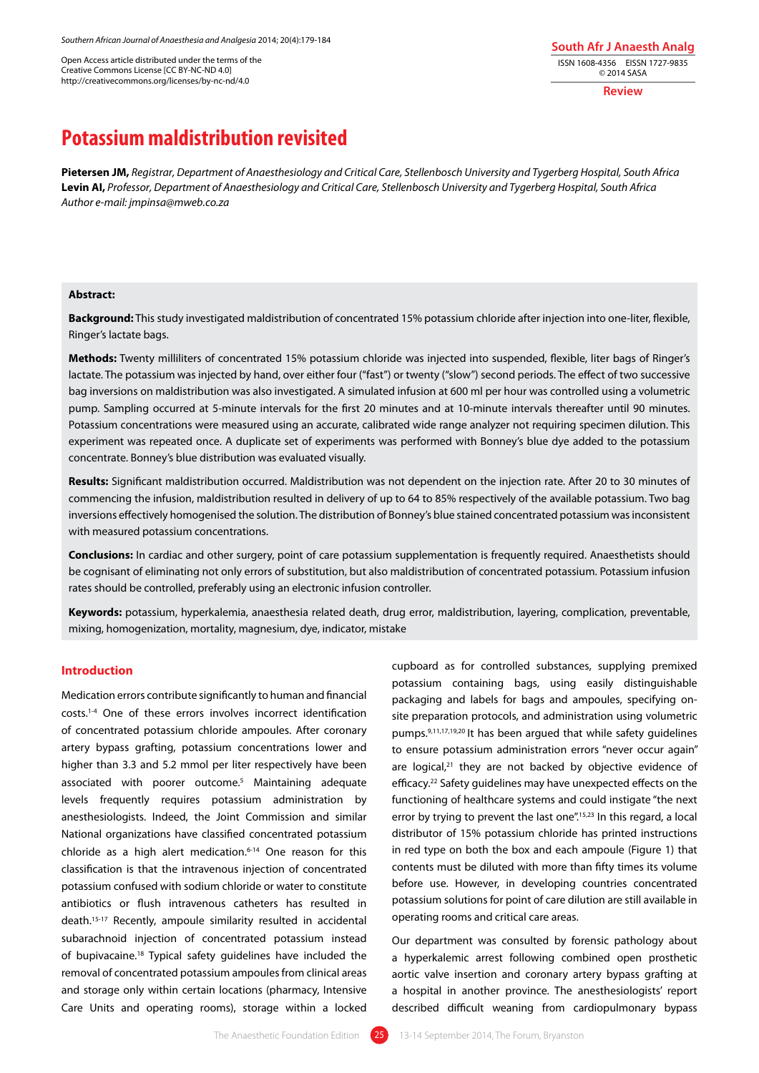Open Access article distributed under the terms of the Creative Commons License [CC BY-NC-ND 4.0] http://creativecommons.org/licenses/by-nc-nd/4.0

**South Afr J Anaesth Analg** ISSN 1608-4356 EISSN 1727-9835 © 2014 SASA

**Review**

# **Potassium maldistribution revisited**

**Pietersen JM,** *Registrar, Department of Anaesthesiology and Critical Care, Stellenbosch University and Tygerberg Hospital, South Africa* **Levin AI,** *Professor, Department of Anaesthesiology and Critical Care, Stellenbosch University and Tygerberg Hospital, South Africa Author e-mail: jmpinsa@mweb.co.za* 

#### **Abstract:**

**Background:** This study investigated maldistribution of concentrated 15% potassium chloride after injection into one-liter, flexible, Ringer's lactate bags.

**Methods:** Twenty milliliters of concentrated 15% potassium chloride was injected into suspended, flexible, liter bags of Ringer's lactate. The potassium was injected by hand, over either four ("fast") or twenty ("slow") second periods. The effect of two successive bag inversions on maldistribution was also investigated. A simulated infusion at 600 ml per hour was controlled using a volumetric pump. Sampling occurred at 5-minute intervals for the first 20 minutes and at 10-minute intervals thereafter until 90 minutes. Potassium concentrations were measured using an accurate, calibrated wide range analyzer not requiring specimen dilution. This experiment was repeated once. A duplicate set of experiments was performed with Bonney's blue dye added to the potassium concentrate. Bonney's blue distribution was evaluated visually.

**Results:** Significant maldistribution occurred. Maldistribution was not dependent on the injection rate. After 20 to 30 minutes of commencing the infusion, maldistribution resulted in delivery of up to 64 to 85% respectively of the available potassium. Two bag inversions effectively homogenised the solution. The distribution of Bonney's blue stained concentrated potassium was inconsistent with measured potassium concentrations.

Conclusions: In cardiac and other surgery, point of care potassium supplementation is frequently required. Anaesthetists should be cognisant of eliminating not only errors of substitution, but also maldistribution of concentrated potassium. Potassium infusion rates should be controlled, preferably using an electronic infusion controller.

**Keywords:** potassium, hyperkalemia, anaesthesia related death, drug error, maldistribution, layering, complication, preventable, mixing, homogenization, mortality, magnesium, dye, indicator, mistake

# **Introduction**

Medication errors contribute significantly to human and financial costs.1-4 One of these errors involves incorrect identification of concentrated potassium chloride ampoules. After coronary artery bypass grafting, potassium concentrations lower and higher than 3.3 and 5.2 mmol per liter respectively have been associated with poorer outcome.<sup>5</sup> Maintaining adequate levels frequently requires potassium administration by anesthesiologists. Indeed, the Joint Commission and similar National organizations have classified concentrated potassium chloride as a high alert medication.6-14 One reason for this classification is that the intravenous injection of concentrated potassium confused with sodium chloride or water to constitute antibiotics or flush intravenous catheters has resulted in death.15-17 Recently, ampoule similarity resulted in accidental subarachnoid injection of concentrated potassium instead of bupivacaine.18 Typical safety guidelines have included the removal of concentrated potassium ampoules from clinical areas and storage only within certain locations (pharmacy, Intensive Care Units and operating rooms), storage within a locked

cupboard as for controlled substances, supplying premixed potassium containing bags, using easily distinguishable packaging and labels for bags and ampoules, specifying onsite preparation protocols, and administration using volumetric pumps.9,11,17,19,20 It has been argued that while safety guidelines to ensure potassium administration errors "never occur again" are logical, $21$  they are not backed by objective evidence of efficacy.<sup>22</sup> Safety quidelines may have unexpected effects on the functioning of healthcare systems and could instigate "the next error by trying to prevent the last one".<sup>15,23</sup> In this regard, a local distributor of 15% potassium chloride has printed instructions in red type on both the box and each ampoule (Figure 1) that contents must be diluted with more than fifty times its volume before use. However, in developing countries concentrated potassium solutions for point of care dilution are still available in operating rooms and critical care areas.

Our department was consulted by forensic pathology about a hyperkalemic arrest following combined open prosthetic aortic valve insertion and coronary artery bypass grafting at a hospital in another province. The anesthesiologists' report described difficult weaning from cardiopulmonary bypass

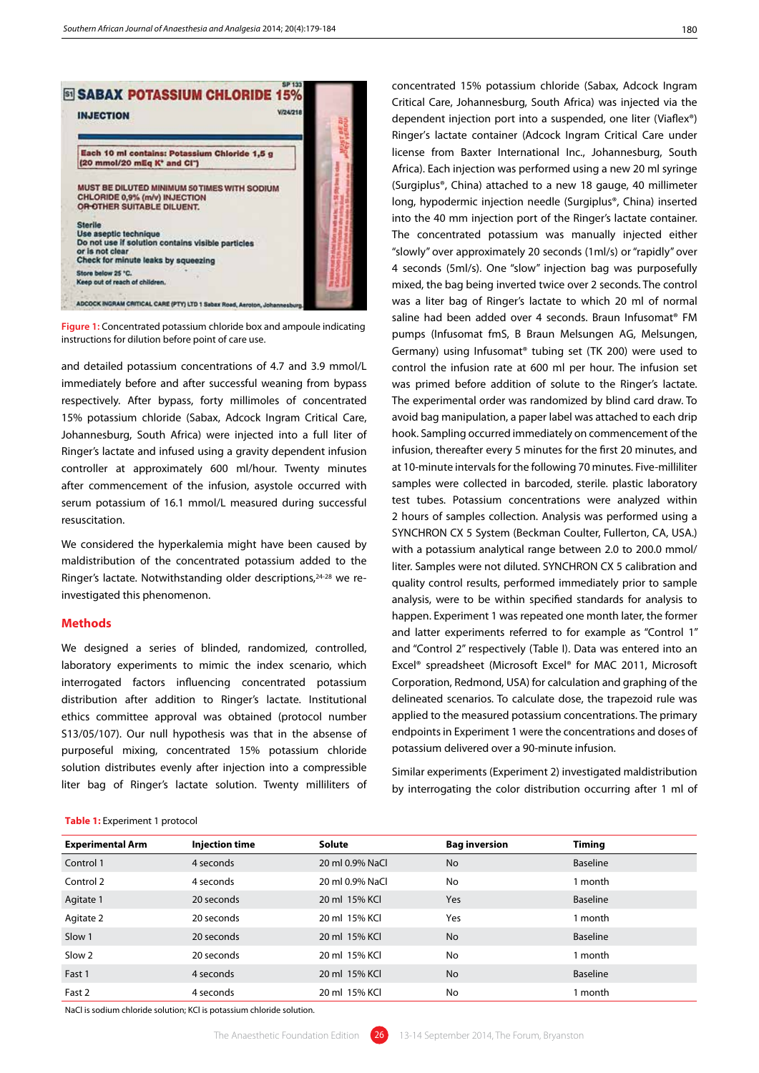

**Figure 1:** Concentrated potassium chloride box and ampoule indicating instructions for dilution before point of care use.

and detailed potassium concentrations of 4.7 and 3.9 mmol/L immediately before and after successful weaning from bypass respectively. After bypass, forty millimoles of concentrated 15% potassium chloride (Sabax, Adcock Ingram Critical Care, Johannesburg, South Africa) were injected into a full liter of Ringer's lactate and infused using a gravity dependent infusion controller at approximately 600 ml/hour. Twenty minutes after commencement of the infusion, asystole occurred with serum potassium of 16.1 mmol/L measured during successful resuscitation.

We considered the hyperkalemia might have been caused by maldistribution of the concentrated potassium added to the Ringer's lactate. Notwithstanding older descriptions, 24-28 we reinvestigated this phenomenon.

#### **Methods**

We designed a series of blinded, randomized, controlled, laboratory experiments to mimic the index scenario, which interrogated factors influencing concentrated potassium distribution after addition to Ringer's lactate. Institutional ethics committee approval was obtained (protocol number S13/05/107). Our null hypothesis was that in the absense of purposeful mixing, concentrated 15% potassium chloride solution distributes evenly after injection into a compressible liter bag of Ringer's lactate solution. Twenty milliliters of

#### **Table 1:** Experiment 1 protocol

Critical Care, Johannesburg, South Africa) was injected via the dependent injection port into a suspended, one liter (Viaflex®) Ringer's lactate container (Adcock Ingram Critical Care under license from Baxter International Inc., Johannesburg, South Africa). Each injection was performed using a new 20 ml syringe (Surgiplus®, China) attached to a new 18 gauge, 40 millimeter long, hypodermic injection needle (Surgiplus®, China) inserted into the 40 mm injection port of the Ringer's lactate container. The concentrated potassium was manually injected either "slowly" over approximately 20 seconds (1ml/s) or "rapidly" over 4 seconds (5ml/s). One "slow" injection bag was purposefully mixed, the bag being inverted twice over 2 seconds. The control was a liter bag of Ringer's lactate to which 20 ml of normal saline had been added over 4 seconds. Braun Infusomat® FM pumps (Infusomat fmS, B Braun Melsungen AG, Melsungen, Germany) using Infusomat® tubing set (TK 200) were used to control the infusion rate at 600 ml per hour. The infusion set was primed before addition of solute to the Ringer's lactate. The experimental order was randomized by blind card draw. To avoid bag manipulation, a paper label was attached to each drip hook. Sampling occurred immediately on commencement of the infusion, thereafter every 5 minutes for the first 20 minutes, and at 10-minute intervals for the following 70 minutes. Five-milliliter samples were collected in barcoded, sterile. plastic laboratory test tubes. Potassium concentrations were analyzed within 2 hours of samples collection. Analysis was performed using a SYNCHRON CX 5 System (Beckman Coulter, Fullerton, CA, USA.) with a potassium analytical range between 2.0 to 200.0 mmol/ liter. Samples were not diluted. SYNCHRON CX 5 calibration and quality control results, performed immediately prior to sample analysis, were to be within specified standards for analysis to happen. Experiment 1 was repeated one month later, the former and latter experiments referred to for example as "Control 1" and "Control 2" respectively (Table I). Data was entered into an Excel® spreadsheet (Microsoft Excel® for MAC 2011, Microsoft Corporation, Redmond, USA) for calculation and graphing of the delineated scenarios. To calculate dose, the trapezoid rule was applied to the measured potassium concentrations. The primary endpoints in Experiment 1 were the concentrations and doses of potassium delivered over a 90-minute infusion.

concentrated 15% potassium chloride (Sabax, Adcock Ingram

Similar experiments (Experiment 2) investigated maldistribution by interrogating the color distribution occurring after 1 ml of

| <b>Experimental Arm</b> | <b>Injection time</b> | <b>Solute</b>   | <b>Bag inversion</b> | Timing          |
|-------------------------|-----------------------|-----------------|----------------------|-----------------|
| Control 1               | 4 seconds             | 20 ml 0.9% NaCl | <b>No</b>            | <b>Baseline</b> |
| Control 2               | 4 seconds             | 20 ml 0.9% NaCl | No                   | 1 month         |
| Agitate 1               | 20 seconds            | 20 ml 15% KCl   | <b>Yes</b>           | <b>Baseline</b> |
| Agitate 2               | 20 seconds            | 20 ml 15% KCI   | Yes                  | 1 month         |
| Slow 1                  | 20 seconds            | 20 ml 15% KCl   | <b>No</b>            | <b>Baseline</b> |
| Slow 2                  | 20 seconds            | 20 ml 15% KCI   | No                   | 1 month         |
| Fast 1                  | 4 seconds             | 20 ml 15% KCl   | <b>No</b>            | <b>Baseline</b> |
| Fast 2                  | 4 seconds             | 20 ml 15% KCI   | No                   | I month         |

NaCl is sodium chloride solution; KCl is potassium chloride solution.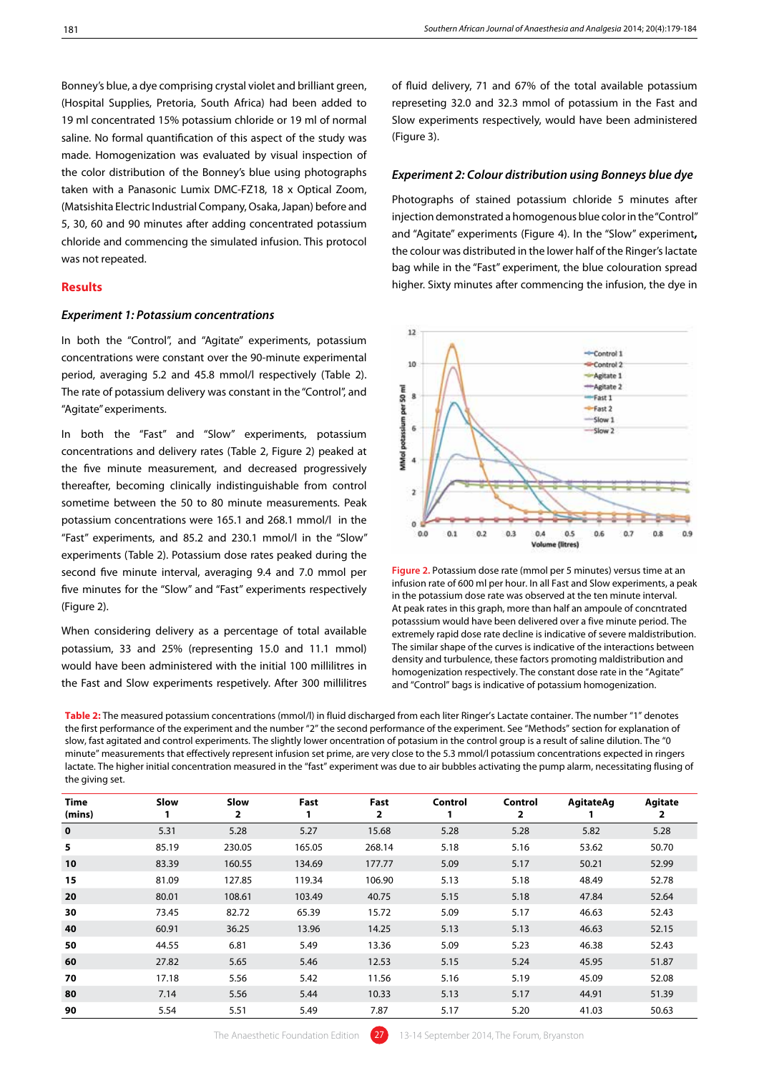Bonney's blue, a dye comprising crystal violet and brilliant green, (Hospital Supplies, Pretoria, South Africa) had been added to 19 ml concentrated 15% potassium chloride or 19 ml of normal saline. No formal quantification of this aspect of the study was made. Homogenization was evaluated by visual inspection of the color distribution of the Bonney's blue using photographs taken with a Panasonic Lumix DMC-FZ18, 18 x Optical Zoom, (Matsishita Electric Industrial Company, Osaka, Japan) before and 5, 30, 60 and 90 minutes after adding concentrated potassium chloride and commencing the simulated infusion. This protocol was not repeated.

# **Results**

# *Experiment 1: Potassium concentrations*

In both the "Control", and "Agitate" experiments, potassium concentrations were constant over the 90-minute experimental period, averaging 5.2 and 45.8 mmol/l respectively (Table 2). The rate of potassium delivery was constant in the "Control", and "Agitate" experiments.

In both the "Fast" and "Slow" experiments, potassium concentrations and delivery rates (Table 2, Figure 2) peaked at the five minute measurement, and decreased progressively thereafter, becoming clinically indistinguishable from control sometime between the 50 to 80 minute measurements. Peak potassium concentrations were 165.1 and 268.1 mmol/l in the "Fast" experiments, and 85.2 and 230.1 mmol/l in the "Slow" experiments (Table 2). Potassium dose rates peaked during the second five minute interval, averaging 9.4 and 7.0 mmol per five minutes for the "Slow" and "Fast" experiments respectively (Figure 2).

When considering delivery as a percentage of total available potassium, 33 and 25% (representing 15.0 and 11.1 mmol) would have been administered with the initial 100 millilitres in the Fast and Slow experiments respetively. After 300 millilitres of fluid delivery, 71 and 67% of the total available potassium represeting 32.0 and 32.3 mmol of potassium in the Fast and Slow experiments respectively, would have been administered (Figure 3).

### *Experiment 2: Colour distribution using Bonneys blue dye*

Photographs of stained potassium chloride 5 minutes after injection demonstrated a homogenous blue color in the "Control" and "Agitate" experiments (Figure 4). In the "Slow" experiment**,**  the colour was distributed in the lower half of the Ringer's lactate bag while in the "Fast" experiment, the blue colouration spread higher. Sixty minutes after commencing the infusion, the dye in



**Figure 2.** Potassium dose rate (mmol per 5 minutes) versus time at an infusion rate of 600 ml per hour. In all Fast and Slow experiments, a peak in the potassium dose rate was observed at the ten minute interval. At peak rates in this graph, more than half an ampoule of concntrated potasssium would have been delivered over a five minute period. The extremely rapid dose rate decline is indicative of severe maldistribution. The similar shape of the curves is indicative of the interactions between density and turbulence, these factors promoting maldistribution and homogenization respectively. The constant dose rate in the "Agitate" and "Control" bags is indicative of potassium homogenization.

**Table 2:** The measured potassium concentrations (mmol/l) in fluid discharged from each liter Ringer's Lactate container. The number "1" denotes the first performance of the experiment and the number "2" the second performance of the experiment. See "Methods" section for explanation of slow, fast agitated and control experiments. The slightly lower oncentration of potasium in the control group is a result of saline dilution. The "0 minute" measurements that effectively represent infusion set prime, are very close to the 5.3 mmol/l potassium concentrations expected in ringers lactate. The higher initial concentration measured in the "fast" experiment was due to air bubbles activating the pump alarm, necessitating flusing of the giving set.

| Time<br>(mins) | <b>Slow</b><br>1 | <b>Slow</b><br>2 | Fast<br>1 | Fast<br>2 | Control | Control<br>2 | <b>AgitateAg</b><br>L. | <b>Agitate</b><br>2 |  |
|----------------|------------------|------------------|-----------|-----------|---------|--------------|------------------------|---------------------|--|
| $\bf{0}$       | 5.31             | 5.28             | 5.27      | 15.68     | 5.28    | 5.28         | 5.82                   | 5.28                |  |
| 5              | 85.19            | 230.05           | 165.05    | 268.14    | 5.18    | 5.16         | 53.62                  | 50.70               |  |
| 10             | 83.39            | 160.55           | 134.69    | 177.77    | 5.09    | 5.17         | 50.21                  | 52.99               |  |
| 15             | 81.09            | 127.85           | 119.34    | 106.90    | 5.13    | 5.18         | 48.49                  | 52.78               |  |
| 20             | 80.01            | 108.61           | 103.49    | 40.75     | 5.15    | 5.18         | 47.84                  | 52.64               |  |
| 30             | 73.45            | 82.72            | 65.39     | 15.72     | 5.09    | 5.17         | 46.63                  | 52.43               |  |
| 40             | 60.91            | 36.25            | 13.96     | 14.25     | 5.13    | 5.13         | 46.63                  | 52.15               |  |
| 50             | 44.55            | 6.81             | 5.49      | 13.36     | 5.09    | 5.23         | 46.38                  | 52.43               |  |
| 60             | 27.82            | 5.65             | 5.46      | 12.53     | 5.15    | 5.24         | 45.95                  | 51.87               |  |
| 70             | 17.18            | 5.56             | 5.42      | 11.56     | 5.16    | 5.19         | 45.09                  | 52.08               |  |
| 80             | 7.14             | 5.56             | 5.44      | 10.33     | 5.13    | 5.17         | 44.91                  | 51.39               |  |
| 90             | 5.54             | 5.51             | 5.49      | 7.87      | 5.17    | 5.20         | 41.03                  | 50.63               |  |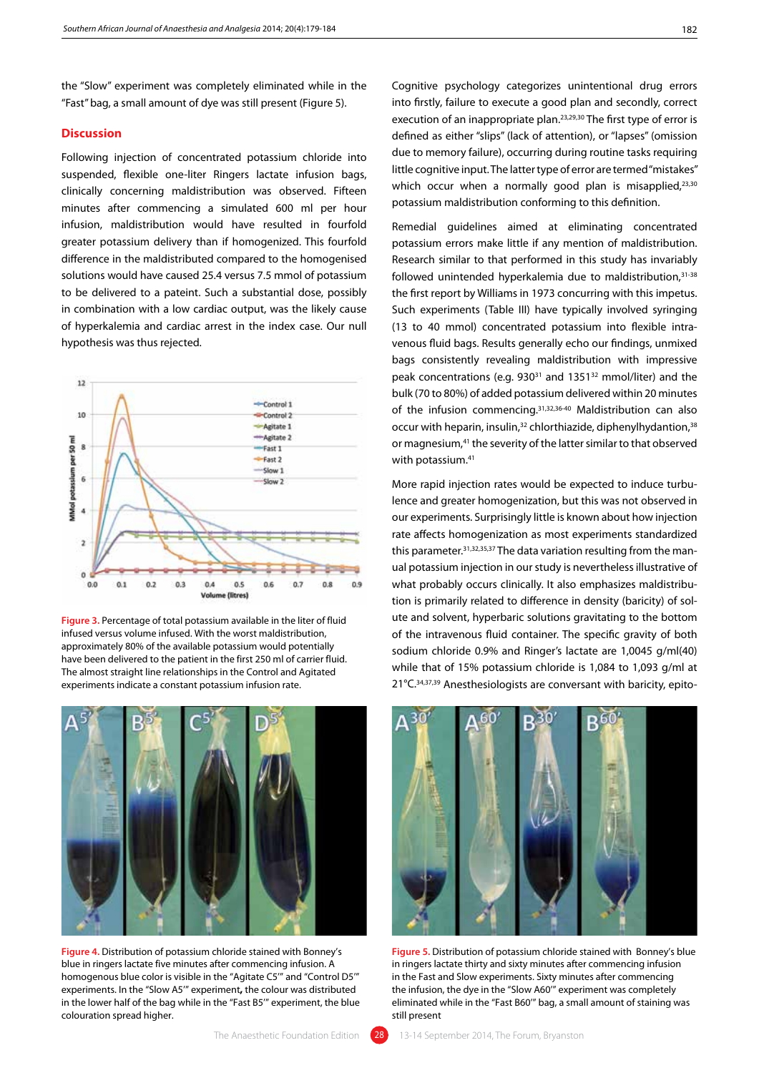the "Slow" experiment was completely eliminated while in the "Fast" bag, a small amount of dye was still present (Figure 5).

# **Discussion**

Following injection of concentrated potassium chloride into suspended, flexible one-liter Ringers lactate infusion bags, clinically concerning maldistribution was observed. Fifteen minutes after commencing a simulated 600 ml per hour infusion, maldistribution would have resulted in fourfold greater potassium delivery than if homogenized. This fourfold difference in the maldistributed compared to the homogenised solutions would have caused 25.4 versus 7.5 mmol of potassium to be delivered to a pateint. Such a substantial dose, possibly in combination with a low cardiac output, was the likely cause of hyperkalemia and cardiac arrest in the index case. Our null hypothesis was thus rejected.



**Figure 3.** Percentage of total potassium available in the liter of fluid infused versus volume infused. With the worst maldistribution, approximately 80% of the available potassium would potentially have been delivered to the patient in the first 250 ml of carrier fluid. The almost straight line relationships in the Control and Agitated experiments indicate a constant potassium infusion rate.



**Figure 4.** Distribution of potassium chloride stained with Bonney's blue in ringers lactate five minutes after commencing infusion. A homogenous blue color is visible in the "Agitate C5'" and "Control D5'" experiments. In the "Slow A5'" experiment**,** the colour was distributed in the lower half of the bag while in the "Fast B5'" experiment, the blue colouration spread higher.

Cognitive psychology categorizes unintentional drug errors into firstly, failure to execute a good plan and secondly, correct execution of an inappropriate plan.<sup>23,29,30</sup> The first type of error is defined as either "slips" (lack of attention), or "lapses" (omission due to memory failure), occurring during routine tasks requiring little cognitive input. The latter type of error are termed "mistakes" which occur when a normally good plan is misapplied, $23,30$ potassium maldistribution conforming to this definition.

Remedial guidelines aimed at eliminating concentrated potassium errors make little if any mention of maldistribution. Research similar to that performed in this study has invariably followed unintended hyperkalemia due to maldistribution, 31-38 the first report by Williams in 1973 concurring with this impetus. Such experiments (Table III) have typically involved syringing (13 to 40 mmol) concentrated potassium into flexible intravenous fluid bags. Results generally echo our findings, unmixed bags consistently revealing maldistribution with impressive peak concentrations (e.g. 930<sup>31</sup> and 1351<sup>32</sup> mmol/liter) and the bulk (70 to 80%) of added potassium delivered within 20 minutes of the infusion commencing.31,32,36-40 Maldistribution can also occur with heparin, insulin,<sup>32</sup> chlorthiazide, diphenylhydantion,<sup>38</sup> or magnesium,41 the severity of the latter similar to that observed with potassium.41

More rapid injection rates would be expected to induce turbulence and greater homogenization, but this was not observed in our experiments. Surprisingly little is known about how injection rate affects homogenization as most experiments standardized this parameter.<sup>31,32,35,37</sup> The data variation resulting from the manual potassium injection in our study is nevertheless illustrative of what probably occurs clinically. It also emphasizes maldistribution is primarily related to difference in density (baricity) of solute and solvent, hyperbaric solutions gravitating to the bottom of the intravenous fluid container. The specific gravity of both sodium chloride 0.9% and Ringer's lactate are 1,0045 g/ml(40) while that of 15% potassium chloride is 1,084 to 1,093 g/ml at 21°C.34,37,39 Anesthesiologists are conversant with baricity, epito-



**Figure 5.** Distribution of potassium chloride stained with Bonney's blue in ringers lactate thirty and sixty minutes after commencing infusion in the Fast and Slow experiments. Sixty minutes after commencing the infusion, the dye in the "Slow A60'" experiment was completely eliminated while in the "Fast B60'" bag, a small amount of staining was still present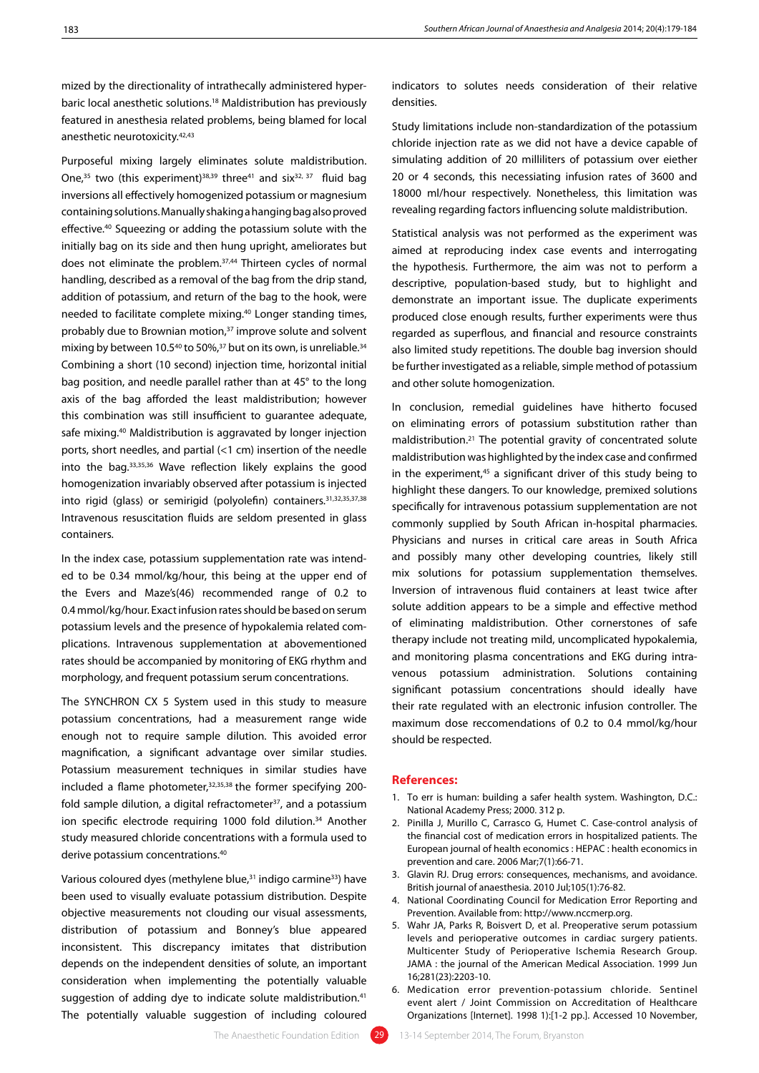mized by the directionality of intrathecally administered hyperbaric local anesthetic solutions.18 Maldistribution has previously featured in anesthesia related problems, being blamed for local anesthetic neurotoxicity.42,43

Purposeful mixing largely eliminates solute maldistribution. One,<sup>35</sup> two (this experiment)<sup>38,39</sup> three<sup>41</sup> and six<sup>32, 37</sup> fluid bag inversions all effectively homogenized potassium or magnesium containing solutions. Manually shaking a hanging bag also proved effective.40 Squeezing or adding the potassium solute with the initially bag on its side and then hung upright, ameliorates but does not eliminate the problem.37,44 Thirteen cycles of normal handling, described as a removal of the bag from the drip stand, addition of potassium, and return of the bag to the hook, were needed to facilitate complete mixing.40 Longer standing times, probably due to Brownian motion,<sup>37</sup> improve solute and solvent mixing by between 10.5<sup>40</sup> to 50%,<sup>37</sup> but on its own, is unreliable.<sup>34</sup> Combining a short (10 second) injection time, horizontal initial bag position, and needle parallel rather than at 45° to the long axis of the bag afforded the least maldistribution; however this combination was still insufficient to guarantee adequate, safe mixing.40 Maldistribution is aggravated by longer injection ports, short needles, and partial (<1 cm) insertion of the needle into the bag.33,35,36 Wave reflection likely explains the good homogenization invariably observed after potassium is injected into rigid (glass) or semirigid (polyolefin) containers.31,32,35,37,38 Intravenous resuscitation fluids are seldom presented in glass containers.

In the index case, potassium supplementation rate was intended to be 0.34 mmol/kg/hour, this being at the upper end of the Evers and Maze's(46) recommended range of 0.2 to 0.4 mmol/kg/hour. Exact infusion rates should be based on serum potassium levels and the presence of hypokalemia related complications. Intravenous supplementation at abovementioned rates should be accompanied by monitoring of EKG rhythm and morphology, and frequent potassium serum concentrations.

The SYNCHRON CX 5 System used in this study to measure potassium concentrations, had a measurement range wide enough not to require sample dilution. This avoided error magnification, a significant advantage over similar studies. Potassium measurement techniques in similar studies have included a flame photometer, 32,35,38 the former specifying 200fold sample dilution, a digital refractometer<sup>37</sup>, and a potassium ion specific electrode requiring 1000 fold dilution.<sup>34</sup> Another study measured chloride concentrations with a formula used to derive potassium concentrations.<sup>40</sup>

Various coloured dyes (methylene blue,<sup>31</sup> indigo carmine<sup>33</sup>) have been used to visually evaluate potassium distribution. Despite objective measurements not clouding our visual assessments, distribution of potassium and Bonney's blue appeared inconsistent. This discrepancy imitates that distribution depends on the independent densities of solute, an important consideration when implementing the potentially valuable suggestion of adding dye to indicate solute maldistribution.<sup>41</sup> The potentially valuable suggestion of including coloured

indicators to solutes needs consideration of their relative densities.

Study limitations include non-standardization of the potassium chloride injection rate as we did not have a device capable of simulating addition of 20 milliliters of potassium over eiether 20 or 4 seconds, this necessiating infusion rates of 3600 and 18000 ml/hour respectively. Nonetheless, this limitation was revealing regarding factors influencing solute maldistribution.

Statistical analysis was not performed as the experiment was aimed at reproducing index case events and interrogating the hypothesis. Furthermore, the aim was not to perform a descriptive, population-based study, but to highlight and demonstrate an important issue. The duplicate experiments produced close enough results, further experiments were thus regarded as superflous, and financial and resource constraints also limited study repetitions. The double bag inversion should be further investigated as a reliable, simple method of potassium and other solute homogenization.

In conclusion, remedial guidelines have hitherto focused on eliminating errors of potassium substitution rather than maldistribution.21 The potential gravity of concentrated solute maldistribution was highlighted by the index case and confirmed in the experiment,<sup>45</sup> a significant driver of this study being to highlight these dangers. To our knowledge, premixed solutions specifically for intravenous potassium supplementation are not commonly supplied by South African in-hospital pharmacies. Physicians and nurses in critical care areas in South Africa and possibly many other developing countries, likely still mix solutions for potassium supplementation themselves. Inversion of intravenous fluid containers at least twice after solute addition appears to be a simple and effective method of eliminating maldistribution. Other cornerstones of safe therapy include not treating mild, uncomplicated hypokalemia, and monitoring plasma concentrations and EKG during intravenous potassium administration. Solutions containing significant potassium concentrations should ideally have their rate regulated with an electronic infusion controller. The maximum dose reccomendations of 0.2 to 0.4 mmol/kg/hour should be respected.

#### **References:**

- 1. To err is human: building a safer health system. Washington, D.C.: National Academy Press; 2000. 312 p.
- 2. Pinilla J, Murillo C, Carrasco G, Humet C. Case-control analysis of the financial cost of medication errors in hospitalized patients. The European journal of health economics : HEPAC : health economics in prevention and care. 2006 Mar;7(1):66-71.
- 3. Glavin RJ. Drug errors: consequences, mechanisms, and avoidance. British journal of anaesthesia. 2010 Jul;105(1):76-82.
- 4. National Coordinating Council for Medication Error Reporting and Prevention. Available from: http://www.nccmerp.org.
- 5. Wahr JA, Parks R, Boisvert D, et al. Preoperative serum potassium levels and perioperative outcomes in cardiac surgery patients. Multicenter Study of Perioperative Ischemia Research Group. JAMA : the journal of the American Medical Association. 1999 Jun 16;281(23):2203-10.
- 6. Medication error prevention-potassium chloride. Sentinel event alert / Joint Commission on Accreditation of Healthcare Organizations [Internet]. 1998 1):[1-2 pp.]. Accessed 10 November,